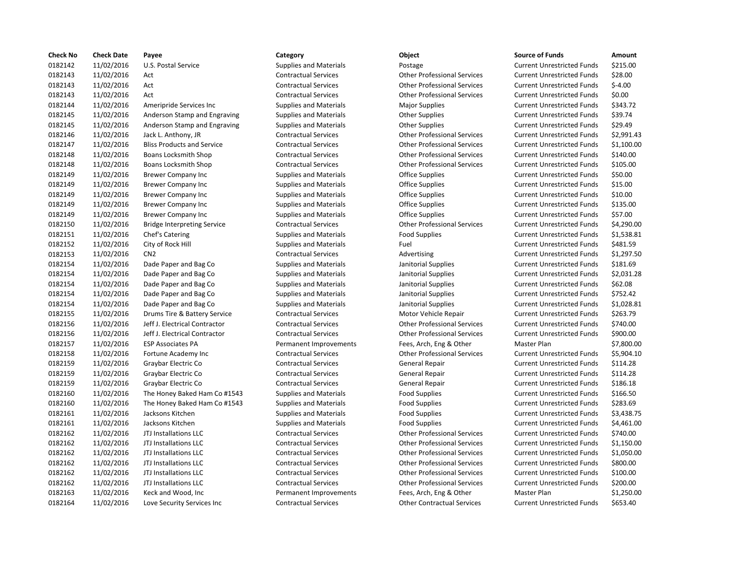| <b>Check No</b> | <b>Check Date</b> | Payee                              | Category                      | Object                             | <b>Source of Funds</b>            | Amount    |
|-----------------|-------------------|------------------------------------|-------------------------------|------------------------------------|-----------------------------------|-----------|
| 0182142         | 11/02/2016        | U.S. Postal Service                | <b>Supplies and Materials</b> | Postage                            | <b>Current Unrestricted Funds</b> | \$215.00  |
| 0182143         | 11/02/2016        | Act                                | <b>Contractual Services</b>   | <b>Other Professional Services</b> | <b>Current Unrestricted Funds</b> | \$28.00   |
| 0182143         | 11/02/2016        | Act                                | <b>Contractual Services</b>   | <b>Other Professional Services</b> | <b>Current Unrestricted Funds</b> | $$-4.00$  |
| 0182143         | 11/02/2016        | Act                                | <b>Contractual Services</b>   | <b>Other Professional Services</b> | <b>Current Unrestricted Funds</b> | \$0.00    |
| 0182144         | 11/02/2016        | Ameripride Services Inc.           | <b>Supplies and Materials</b> | <b>Major Supplies</b>              | <b>Current Unrestricted Funds</b> | \$343.72  |
| 0182145         | 11/02/2016        | Anderson Stamp and Engraving       | <b>Supplies and Materials</b> | <b>Other Supplies</b>              | <b>Current Unrestricted Funds</b> | \$39.74   |
| 0182145         | 11/02/2016        | Anderson Stamp and Engraving       | Supplies and Materials        | <b>Other Supplies</b>              | <b>Current Unrestricted Funds</b> | \$29.49   |
| 0182146         | 11/02/2016        | Jack L. Anthony, JR                | <b>Contractual Services</b>   | <b>Other Professional Services</b> | <b>Current Unrestricted Funds</b> | \$2,991.4 |
| 0182147         | 11/02/2016        | <b>Bliss Products and Service</b>  | <b>Contractual Services</b>   | <b>Other Professional Services</b> | <b>Current Unrestricted Funds</b> | \$1,100.0 |
| 0182148         | 11/02/2016        | Boans Locksmith Shop               | <b>Contractual Services</b>   | <b>Other Professional Services</b> | <b>Current Unrestricted Funds</b> | \$140.00  |
| 0182148         | 11/02/2016        | Boans Locksmith Shop               | <b>Contractual Services</b>   | <b>Other Professional Services</b> | <b>Current Unrestricted Funds</b> | \$105.00  |
| 0182149         | 11/02/2016        | Brewer Company Inc                 | <b>Supplies and Materials</b> | Office Supplies                    | <b>Current Unrestricted Funds</b> | \$50.00   |
| 0182149         | 11/02/2016        | <b>Brewer Company Inc</b>          | <b>Supplies and Materials</b> | <b>Office Supplies</b>             | <b>Current Unrestricted Funds</b> | \$15.00   |
| 0182149         | 11/02/2016        | <b>Brewer Company Inc</b>          | <b>Supplies and Materials</b> | Office Supplies                    | <b>Current Unrestricted Funds</b> | \$10.00   |
| 0182149         | 11/02/2016        | <b>Brewer Company Inc</b>          | <b>Supplies and Materials</b> | Office Supplies                    | <b>Current Unrestricted Funds</b> | \$135.00  |
| 0182149         | 11/02/2016        | <b>Brewer Company Inc</b>          | <b>Supplies and Materials</b> | <b>Office Supplies</b>             | <b>Current Unrestricted Funds</b> | \$57.00   |
| 0182150         | 11/02/2016        | <b>Bridge Interpreting Service</b> | <b>Contractual Services</b>   | <b>Other Professional Services</b> | <b>Current Unrestricted Funds</b> | \$4,290.0 |
| 0182151         | 11/02/2016        | Chef's Catering                    | <b>Supplies and Materials</b> | <b>Food Supplies</b>               | <b>Current Unrestricted Funds</b> | \$1,538.8 |
| 0182152         | 11/02/2016        | City of Rock Hill                  | <b>Supplies and Materials</b> | Fuel                               | <b>Current Unrestricted Funds</b> | \$481.59  |
| 0182153         | 11/02/2016        | CN <sub>2</sub>                    | <b>Contractual Services</b>   | Advertising                        | <b>Current Unrestricted Funds</b> | \$1,297.5 |
| 0182154         | 11/02/2016        | Dade Paper and Bag Co              | <b>Supplies and Materials</b> | Janitorial Supplies                | <b>Current Unrestricted Funds</b> | \$181.69  |
| 0182154         | 11/02/2016        | Dade Paper and Bag Co              | <b>Supplies and Materials</b> | Janitorial Supplies                | <b>Current Unrestricted Funds</b> | \$2,031.2 |
| 0182154         | 11/02/2016        | Dade Paper and Bag Co              | <b>Supplies and Materials</b> | Janitorial Supplies                | <b>Current Unrestricted Funds</b> | \$62.08   |
| 0182154         | 11/02/2016        | Dade Paper and Bag Co              | <b>Supplies and Materials</b> | Janitorial Supplies                | <b>Current Unrestricted Funds</b> | \$752.42  |
| 0182154         | 11/02/2016        | Dade Paper and Bag Co              | <b>Supplies and Materials</b> | Janitorial Supplies                | <b>Current Unrestricted Funds</b> | \$1,028.8 |
| 0182155         | 11/02/2016        | Drums Tire & Battery Service       | <b>Contractual Services</b>   | Motor Vehicle Repair               | <b>Current Unrestricted Funds</b> | \$263.79  |
| 0182156         | 11/02/2016        | Jeff J. Electrical Contractor      | <b>Contractual Services</b>   | <b>Other Professional Services</b> | <b>Current Unrestricted Funds</b> | \$740.00  |
| 0182156         | 11/02/2016        | Jeff J. Electrical Contractor      | <b>Contractual Services</b>   | <b>Other Professional Services</b> | <b>Current Unrestricted Funds</b> | \$900.00  |
| 0182157         | 11/02/2016        | <b>ESP Associates PA</b>           | Permanent Improvements        | Fees, Arch, Eng & Other            | Master Plan                       | \$7,800.0 |
| 0182158         | 11/02/2016        | Fortune Academy Inc                | <b>Contractual Services</b>   | <b>Other Professional Services</b> | <b>Current Unrestricted Funds</b> | \$5,904.1 |
| 0182159         | 11/02/2016        | Graybar Electric Co                | <b>Contractual Services</b>   | General Repair                     | <b>Current Unrestricted Funds</b> | \$114.28  |
| 0182159         | 11/02/2016        | Graybar Electric Co                | <b>Contractual Services</b>   | General Repair                     | <b>Current Unrestricted Funds</b> | \$114.28  |
| 0182159         | 11/02/2016        | Graybar Electric Co                | <b>Contractual Services</b>   | General Repair                     | <b>Current Unrestricted Funds</b> | \$186.18  |
| 0182160         | 11/02/2016        | The Honey Baked Ham Co #1543       | <b>Supplies and Materials</b> | <b>Food Supplies</b>               | <b>Current Unrestricted Funds</b> | \$166.50  |
| 0182160         | 11/02/2016        | The Honey Baked Ham Co #1543       | <b>Supplies and Materials</b> | <b>Food Supplies</b>               | <b>Current Unrestricted Funds</b> | \$283.69  |
| 0182161         | 11/02/2016        | Jacksons Kitchen                   | <b>Supplies and Materials</b> | <b>Food Supplies</b>               | <b>Current Unrestricted Funds</b> | \$3,438.7 |
| 0182161         | 11/02/2016        | Jacksons Kitchen                   | <b>Supplies and Materials</b> | <b>Food Supplies</b>               | <b>Current Unrestricted Funds</b> | \$4,461.0 |
| 0182162         | 11/02/2016        | JTJ Installations LLC              | <b>Contractual Services</b>   | <b>Other Professional Services</b> | <b>Current Unrestricted Funds</b> | \$740.00  |
| 0182162         | 11/02/2016        | JTJ Installations LLC              | <b>Contractual Services</b>   | <b>Other Professional Services</b> | <b>Current Unrestricted Funds</b> | \$1,150.0 |
| 0182162         | 11/02/2016        | JTJ Installations LLC              | <b>Contractual Services</b>   | <b>Other Professional Services</b> | <b>Current Unrestricted Funds</b> | \$1,050.0 |
| 0182162         | 11/02/2016        | JTJ Installations LLC              | <b>Contractual Services</b>   | <b>Other Professional Services</b> | <b>Current Unrestricted Funds</b> | \$800.00  |
| 0182162         | 11/02/2016        | JTJ Installations LLC              | <b>Contractual Services</b>   | <b>Other Professional Services</b> | <b>Current Unrestricted Funds</b> | \$100.00  |
| 0182162         | 11/02/2016        | JTJ Installations LLC              | <b>Contractual Services</b>   | <b>Other Professional Services</b> | <b>Current Unrestricted Funds</b> | \$200.00  |
| 0182163         | 11/02/2016        | Keck and Wood, Inc                 | Permanent Improvements        | Fees, Arch, Eng & Other            | Master Plan                       | \$1,250.0 |
| 0182164         | 11/02/2016        | Love Security Services Inc         | <b>Contractual Services</b>   | <b>Other Contractual Services</b>  | <b>Current Unrestricted Funds</b> | \$653.40  |

# Supplies and Materials **11/2016** Postage Current Unrestricted Funds 5215.00 11/02/2016 Act Contractual Services Other Professional Services Current Unrestricted Funds \$28.00 11/02/2016 Act Contractual Services Other Professional Services Current Unrestricted Funds \$-4.00 11/02/2016 Act Contractual Services Other Professional Services Current Unrestricted Funds \$0.00 Supplies and Materials **Current Unrestricted Funds** Sales Sales Services American Major Supplies Current Unrestricted Funds \$343.72 11/02/2016 Anderson Stamp and Engraving Supplies and Materials Other Supplies Current Unrestricted Funds \$39.74 Supplies and Materials **12016** 12016 Current Unrestricted Funds 529.49 11/02/2016 Jack L. Anthony, JR Contractual Services Other Professional Services Current Unrestricted Funds \$2,991.43 11/02/2016 Bliss Products and Service Contractual Services Other Professional Services Current Unrestricted Funds \$1,100.00 11/02/2016 Boans Locksmith Shop Contractual Services Other Professional Services Current Unrestricted Funds \$140.00 11/02/2016 Boans Locksmith Shop Contractual Services Other Professional Services Current Unrestricted Funds \$105.00 Supplies and Materials **Supplies** Current Unrestricted Funds \$50.00 11/02/2016 Brewer Company Inc Supplies and Materials Office Supplies Current Unrestricted Funds \$15.00 Supplies and Materials **Supplies Current Unrestricted Funds** 510.00 Supplies and Materials **Example 2018** Office Supplies **Current Unrestricted Funds** \$135.00 Supplies and Materials **11/2016 COMPANY Inc.** Current Unrestricted Funds 557.00 11/02/2016 Bridge Interpreting Service Contractual Services Other Professional Services Current Unrestricted Funds \$4,290.00 11/02/2016 Chef's Catering Supplies and Materials Food Supplies Current Unrestricted Funds \$1,538.81 11/02/2016 City of Rock Hill Supplies and Materials Fuel Current Unrestricted Funds \$481.59 Contractual Services **11/297.50** Advertising **Current Unrestricted Funds** \$1,297.50 11/02/2016 Dade Paper and Bag Co Supplies and Materials Janitorial Supplies Current Unrestricted Funds \$181.69 11/02/2016 Dade Paper and Bag Co Supplies and Materials Janitorial Supplies Current Unrestricted Funds \$2,031.28 11/02/2016 Dade Paper and Bag Co Supplies and Materials Janitorial Supplies Current Unrestricted Funds \$62.08 11/02/2016 Dade Paper and Bag Co Supplies and Materials Janitorial Supplies Current Unrestricted Funds \$752.42 11/02/2016 Dade Paper and Bag Co Supplies and Materials Janitorial Supplies Current Unrestricted Funds \$1,028.81 11/02/2016 Drums Tire & Battery Service Contractual Services Motor Vehicle Repair Current Unrestricted Funds \$263.79 11/02/2016 Jeff J. Electrical Contractor Contractual Services Other Professional Services Current Unrestricted Funds \$740.00 11/02/2016 Jeff J. Electrical Contractor Contractual Services Other Professional Services Current Unrestricted Funds \$900.00 Permanent Improvements Fees, Arch, Eng & Other Master Plan \$7,800.00 Contractual Services **11/2016 CONTRACTER INCORDEMY INCORDER SERVICES** Current Unrestricted Funds \$5,904.10 11/02/2016 Graybar Electric Co Contractual Services General Repair Current Unrestricted Funds \$114.28 11/02/2016 Graybar Electric Co Contractual Services General Repair Current Unrestricted Funds \$114.28 11/02/2016 Graybar Electric Co Contractual Services General Repair Current Unrestricted Funds \$186.18 11/02/2016 The Honey Baked Ham Co #1543 Supplies and Materials Food Supplies Current Unrestricted Funds \$166.50 11/02/2016 The Honey Baked Ham Co #1543 Supplies and Materials Food Supplies Current Unrestricted Funds \$283.69 11/02/2016 Jacksons Kitchen Supplies and Materials Food Supplies Current Unrestricted Funds \$3,438.75 11/02/2016 Jacksons Kitchen Supplies and Materials Food Supplies Current Unrestricted Funds \$4,461.00 11/02/2016 JTJ Installations LLC Contractual Services Other Professional Services Current Unrestricted Funds \$740.00 11/02/2016 JTJ Installations LLC Contractual Services Other Professional Services Current Unrestricted Funds \$1,150.00 11/02/2016 JTJ Installations LLC Contractual Services Other Professional Services Current Unrestricted Funds \$1,050.00 Contractual Services **1202 12: Contractual Services** Other Professional Services Current Unrestricted Funds \$800.00 11/02/2016 JTJ Installations LLC Contractual Services Other Professional Services Current Unrestricted Funds \$100.00 11/02/2016 JTJ Installations LLC Contractual Services Other Professional Services Current Unrestricted Funds \$200.00 Permanent Improvements Fees, Arch, Eng & Other Master Plan \$1,250.00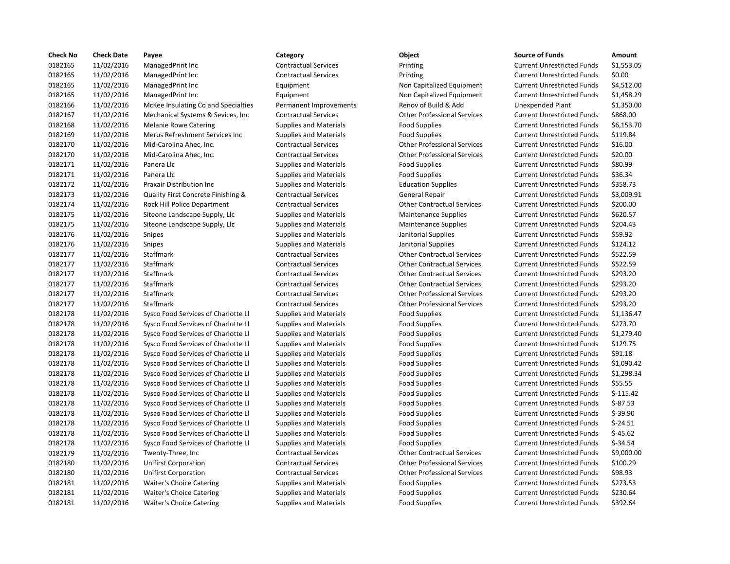| <b>Check No</b> | <b>Check Date</b> | Payee                               | Category                      | Object                             | <b>Source of Funds</b>            | Amount     |
|-----------------|-------------------|-------------------------------------|-------------------------------|------------------------------------|-----------------------------------|------------|
| 0182165         | 11/02/2016        | ManagedPrint Inc                    | <b>Contractual Services</b>   | Printing                           | <b>Current Unrestricted Funds</b> | \$1,553.0  |
| 0182165         | 11/02/2016        | ManagedPrint Inc                    | <b>Contractual Services</b>   | Printing                           | <b>Current Unrestricted Funds</b> | \$0.00     |
| 0182165         | 11/02/2016        | ManagedPrint Inc                    | Equipment                     | Non Capitalized Equipment          | <b>Current Unrestricted Funds</b> | \$4,512.0  |
| 0182165         | 11/02/2016        | ManagedPrint Inc                    | Equipment                     | Non Capitalized Equipment          | <b>Current Unrestricted Funds</b> | \$1,458.2  |
| 0182166         | 11/02/2016        | McKee Insulating Co and Specialties | Permanent Improvements        | Renov of Build & Add               | Unexpended Plant                  | \$1,350.0  |
| 0182167         | 11/02/2016        | Mechanical Systems & Sevices, Inc.  | <b>Contractual Services</b>   | <b>Other Professional Services</b> | <b>Current Unrestricted Funds</b> | \$868.00   |
| 0182168         | 11/02/2016        | <b>Melanie Rowe Catering</b>        | <b>Supplies and Materials</b> | <b>Food Supplies</b>               | <b>Current Unrestricted Funds</b> | \$6,153.7  |
| 0182169         | 11/02/2016        | Merus Refreshment Services Inc      | <b>Supplies and Materials</b> | <b>Food Supplies</b>               | <b>Current Unrestricted Funds</b> | \$119.84   |
| 0182170         | 11/02/2016        | Mid-Carolina Ahec, Inc.             | <b>Contractual Services</b>   | <b>Other Professional Services</b> | <b>Current Unrestricted Funds</b> | \$16.00    |
| 0182170         | 11/02/2016        | Mid-Carolina Ahec, Inc.             | <b>Contractual Services</b>   | <b>Other Professional Services</b> | <b>Current Unrestricted Funds</b> | \$20.00    |
| 0182171         | 11/02/2016        | Panera Llc                          | <b>Supplies and Materials</b> | <b>Food Supplies</b>               | <b>Current Unrestricted Funds</b> | \$80.99    |
| 0182171         | 11/02/2016        | Panera Llc                          | <b>Supplies and Materials</b> | <b>Food Supplies</b>               | <b>Current Unrestricted Funds</b> | \$36.34    |
| 0182172         | 11/02/2016        | Praxair Distribution Inc            | <b>Supplies and Materials</b> | <b>Education Supplies</b>          | <b>Current Unrestricted Funds</b> | \$358.73   |
| 0182173         | 11/02/2016        | Quality First Concrete Finishing &  | <b>Contractual Services</b>   | General Repair                     | <b>Current Unrestricted Funds</b> | \$3,009.9  |
| 0182174         | 11/02/2016        | Rock Hill Police Department         | <b>Contractual Services</b>   | <b>Other Contractual Services</b>  | <b>Current Unrestricted Funds</b> | \$200.00   |
| 0182175         | 11/02/2016        | Siteone Landscape Supply, Llc       | <b>Supplies and Materials</b> | <b>Maintenance Supplies</b>        | <b>Current Unrestricted Funds</b> | \$620.57   |
| 0182175         | 11/02/2016        | Siteone Landscape Supply, Llc       | <b>Supplies and Materials</b> | <b>Maintenance Supplies</b>        | <b>Current Unrestricted Funds</b> | \$204.43   |
| 0182176         | 11/02/2016        | Snipes                              | <b>Supplies and Materials</b> | Janitorial Supplies                | <b>Current Unrestricted Funds</b> | \$59.92    |
| 0182176         | 11/02/2016        | Snipes                              | <b>Supplies and Materials</b> | Janitorial Supplies                | <b>Current Unrestricted Funds</b> | \$124.12   |
| 0182177         | 11/02/2016        | Staffmark                           | <b>Contractual Services</b>   | <b>Other Contractual Services</b>  | <b>Current Unrestricted Funds</b> | \$522.59   |
| 0182177         | 11/02/2016        | Staffmark                           | <b>Contractual Services</b>   | <b>Other Contractual Services</b>  | <b>Current Unrestricted Funds</b> | \$522.59   |
| 0182177         | 11/02/2016        | Staffmark                           | <b>Contractual Services</b>   | <b>Other Contractual Services</b>  | <b>Current Unrestricted Funds</b> | \$293.20   |
| 0182177         | 11/02/2016        | Staffmark                           | <b>Contractual Services</b>   | <b>Other Contractual Services</b>  | <b>Current Unrestricted Funds</b> | \$293.20   |
| 0182177         | 11/02/2016        | Staffmark                           | <b>Contractual Services</b>   | <b>Other Professional Services</b> | <b>Current Unrestricted Funds</b> | \$293.20   |
| 0182177         | 11/02/2016        | <b>Staffmark</b>                    | <b>Contractual Services</b>   | <b>Other Professional Services</b> | <b>Current Unrestricted Funds</b> | \$293.20   |
| 0182178         | 11/02/2016        | Sysco Food Services of Charlotte Ll | <b>Supplies and Materials</b> | <b>Food Supplies</b>               | <b>Current Unrestricted Funds</b> | \$1,136.4  |
| 0182178         | 11/02/2016        | Sysco Food Services of Charlotte Ll | <b>Supplies and Materials</b> | <b>Food Supplies</b>               | <b>Current Unrestricted Funds</b> | \$273.70   |
| 0182178         | 11/02/2016        | Sysco Food Services of Charlotte Ll | <b>Supplies and Materials</b> | <b>Food Supplies</b>               | <b>Current Unrestricted Funds</b> | \$1,279.4  |
| 0182178         | 11/02/2016        | Sysco Food Services of Charlotte Ll | <b>Supplies and Materials</b> | <b>Food Supplies</b>               | <b>Current Unrestricted Funds</b> | \$129.75   |
| 0182178         | 11/02/2016        | Sysco Food Services of Charlotte Ll | Supplies and Materials        | <b>Food Supplies</b>               | <b>Current Unrestricted Funds</b> | \$91.18    |
| 0182178         | 11/02/2016        | Sysco Food Services of Charlotte Ll | <b>Supplies and Materials</b> | <b>Food Supplies</b>               | <b>Current Unrestricted Funds</b> | \$1,090.4  |
| 0182178         | 11/02/2016        | Sysco Food Services of Charlotte Ll | <b>Supplies and Materials</b> | <b>Food Supplies</b>               | <b>Current Unrestricted Funds</b> | \$1,298.3  |
| 0182178         | 11/02/2016        | Sysco Food Services of Charlotte Ll | <b>Supplies and Materials</b> | <b>Food Supplies</b>               | <b>Current Unrestricted Funds</b> | \$55.55    |
| 0182178         | 11/02/2016        | Sysco Food Services of Charlotte Ll | <b>Supplies and Materials</b> | <b>Food Supplies</b>               | <b>Current Unrestricted Funds</b> | $$-115.42$ |
| 0182178         | 11/02/2016        | Sysco Food Services of Charlotte Ll | Supplies and Materials        | <b>Food Supplies</b>               | <b>Current Unrestricted Funds</b> | $$-87.53$  |
| 0182178         | 11/02/2016        | Sysco Food Services of Charlotte Ll | <b>Supplies and Materials</b> | <b>Food Supplies</b>               | <b>Current Unrestricted Funds</b> | $$-39.90$  |
| 0182178         | 11/02/2016        | Sysco Food Services of Charlotte Ll | <b>Supplies and Materials</b> | <b>Food Supplies</b>               | <b>Current Unrestricted Funds</b> | $$-24.51$  |
| 0182178         | 11/02/2016        | Sysco Food Services of Charlotte Ll | <b>Supplies and Materials</b> | <b>Food Supplies</b>               | <b>Current Unrestricted Funds</b> | $$-45.62$  |
| 0182178         | 11/02/2016        | Sysco Food Services of Charlotte Ll | <b>Supplies and Materials</b> | <b>Food Supplies</b>               | <b>Current Unrestricted Funds</b> | $$-34.54$  |
| 0182179         | 11/02/2016        | Twenty-Three, Inc                   | <b>Contractual Services</b>   | <b>Other Contractual Services</b>  | <b>Current Unrestricted Funds</b> | \$9,000.0  |
| 0182180         | 11/02/2016        | <b>Unifirst Corporation</b>         | <b>Contractual Services</b>   | <b>Other Professional Services</b> | <b>Current Unrestricted Funds</b> | \$100.29   |
| 0182180         | 11/02/2016        | <b>Unifirst Corporation</b>         | <b>Contractual Services</b>   | <b>Other Professional Services</b> | <b>Current Unrestricted Funds</b> | \$98.93    |
| 0182181         | 11/02/2016        | <b>Waiter's Choice Catering</b>     | <b>Supplies and Materials</b> | <b>Food Supplies</b>               | <b>Current Unrestricted Funds</b> | \$273.53   |
| 0182181         | 11/02/2016        | <b>Waiter's Choice Catering</b>     | <b>Supplies and Materials</b> | <b>Food Supplies</b>               | <b>Current Unrestricted Funds</b> | \$230.64   |
| 0182181         | 11/02/2016        | <b>Waiter's Choice Catering</b>     | <b>Supplies and Materials</b> | <b>Food Supplies</b>               | <b>Current Unrestricted Funds</b> | \$392.64   |
|                 |                   |                                     |                               |                                    |                                   |            |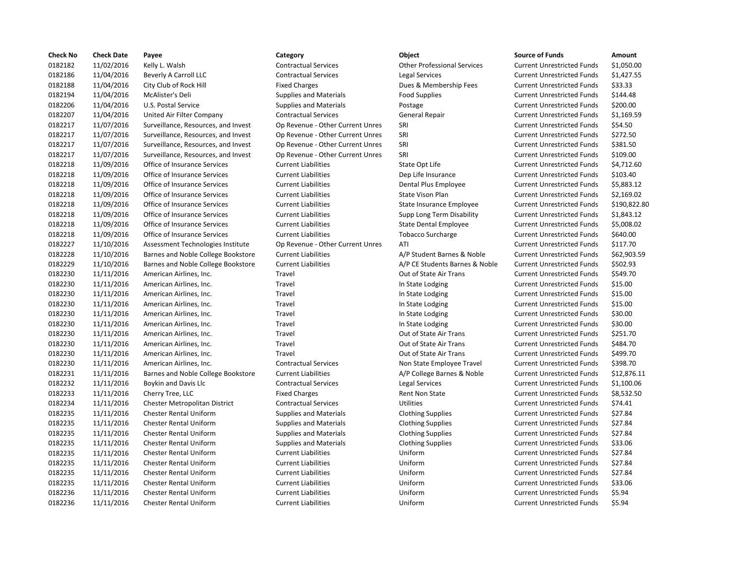| <b>Check No</b> | <b>Check Date</b> | Payee                               | Category                         | Object                             | <b>Source of Funds</b>            | Amount    |
|-----------------|-------------------|-------------------------------------|----------------------------------|------------------------------------|-----------------------------------|-----------|
| 0182182         | 11/02/2016        | Kelly L. Walsh                      | <b>Contractual Services</b>      | <b>Other Professional Services</b> | <b>Current Unrestricted Funds</b> | \$1,050.0 |
| 0182186         | 11/04/2016        | Beverly A Carroll LLC               | <b>Contractual Services</b>      | <b>Legal Services</b>              | <b>Current Unrestricted Funds</b> | \$1,427.5 |
| 0182188         | 11/04/2016        | City Club of Rock Hill              | <b>Fixed Charges</b>             | Dues & Membership Fees             | <b>Current Unrestricted Funds</b> | \$33.33   |
| 0182194         | 11/04/2016        | McAlister's Deli                    | <b>Supplies and Materials</b>    | <b>Food Supplies</b>               | <b>Current Unrestricted Funds</b> | \$144.48  |
| 0182206         | 11/04/2016        | U.S. Postal Service                 | <b>Supplies and Materials</b>    | Postage                            | <b>Current Unrestricted Funds</b> | \$200.00  |
| 0182207         | 11/04/2016        | United Air Filter Company           | <b>Contractual Services</b>      | General Repair                     | <b>Current Unrestricted Funds</b> | \$1,169.5 |
| 0182217         | 11/07/2016        | Surveillance, Resources, and Invest | Op Revenue - Other Current Unres | SRI                                | <b>Current Unrestricted Funds</b> | \$54.50   |
| 0182217         | 11/07/2016        | Surveillance, Resources, and Invest | Op Revenue - Other Current Unres | SRI                                | <b>Current Unrestricted Funds</b> | \$272.50  |
| 0182217         | 11/07/2016        | Surveillance, Resources, and Invest | Op Revenue - Other Current Unres | SRI                                | <b>Current Unrestricted Funds</b> | \$381.50  |
| 0182217         | 11/07/2016        | Surveillance, Resources, and Invest | Op Revenue - Other Current Unres | SRI                                | <b>Current Unrestricted Funds</b> | \$109.00  |
| 0182218         | 11/09/2016        | Office of Insurance Services        | <b>Current Liabilities</b>       | State Opt Life                     | <b>Current Unrestricted Funds</b> | \$4,712.6 |
| 0182218         | 11/09/2016        | Office of Insurance Services        | <b>Current Liabilities</b>       | Dep Life Insurance                 | <b>Current Unrestricted Funds</b> | \$103.40  |
| 0182218         | 11/09/2016        | Office of Insurance Services        | <b>Current Liabilities</b>       | Dental Plus Employee               | <b>Current Unrestricted Funds</b> | \$5,883.1 |
| 0182218         | 11/09/2016        | Office of Insurance Services        | <b>Current Liabilities</b>       | <b>State Vison Plan</b>            | <b>Current Unrestricted Funds</b> | \$2.169.0 |
| 0182218         | 11/09/2016        | Office of Insurance Services        | <b>Current Liabilities</b>       | State Insurance Employee           | <b>Current Unrestricted Funds</b> | \$190,82  |
| 0182218         | 11/09/2016        | Office of Insurance Services        | <b>Current Liabilities</b>       | Supp Long Term Disability          | <b>Current Unrestricted Funds</b> | \$1,843.1 |
| 0182218         | 11/09/2016        | Office of Insurance Services        | <b>Current Liabilities</b>       | <b>State Dental Employee</b>       | <b>Current Unrestricted Funds</b> | \$5,008.0 |
| 0182218         | 11/09/2016        | Office of Insurance Services        | <b>Current Liabilities</b>       | <b>Tobacco Surcharge</b>           | <b>Current Unrestricted Funds</b> | \$640.00  |
| 0182227         | 11/10/2016        | Assessment Technologies Institute   | Op Revenue - Other Current Unres | ATI                                | <b>Current Unrestricted Funds</b> | \$117.70  |
| 0182228         | 11/10/2016        | Barnes and Noble College Bookstore  | <b>Current Liabilities</b>       | A/P Student Barnes & Noble         | <b>Current Unrestricted Funds</b> | \$62,903  |
| 0182229         | 11/10/2016        | Barnes and Noble College Bookstore  | <b>Current Liabilities</b>       | A/P CE Students Barnes & Noble     | <b>Current Unrestricted Funds</b> | \$502.93  |
| 0182230         | 11/11/2016        | American Airlines, Inc.             | Travel                           | Out of State Air Trans             | <b>Current Unrestricted Funds</b> | \$549.70  |
| 0182230         | 11/11/2016        | American Airlines, Inc.             | Travel                           | In State Lodging                   | <b>Current Unrestricted Funds</b> | \$15.00   |
| 0182230         | 11/11/2016        | American Airlines, Inc.             | Travel                           | In State Lodging                   | <b>Current Unrestricted Funds</b> | \$15.00   |
| 0182230         | 11/11/2016        | American Airlines, Inc.             | Travel                           | In State Lodging                   | <b>Current Unrestricted Funds</b> | \$15.00   |
| 0182230         | 11/11/2016        | American Airlines, Inc.             | Travel                           | In State Lodging                   | <b>Current Unrestricted Funds</b> | \$30.00   |
| 0182230         | 11/11/2016        | American Airlines, Inc.             | Travel                           | In State Lodging                   | <b>Current Unrestricted Funds</b> | \$30.00   |
| 0182230         | 11/11/2016        | American Airlines, Inc.             | Travel                           | Out of State Air Trans             | <b>Current Unrestricted Funds</b> | \$251.70  |
| 0182230         | 11/11/2016        | American Airlines, Inc.             | Travel                           | Out of State Air Trans             | <b>Current Unrestricted Funds</b> | \$484.70  |
| 0182230         | 11/11/2016        | American Airlines, Inc.             | Travel                           | Out of State Air Trans             | <b>Current Unrestricted Funds</b> | \$499.70  |
| 0182230         | 11/11/2016        | American Airlines, Inc.             | <b>Contractual Services</b>      | Non State Employee Travel          | <b>Current Unrestricted Funds</b> | \$398.70  |
| 0182231         | 11/11/2016        | Barnes and Noble College Bookstore  | <b>Current Liabilities</b>       | A/P College Barnes & Noble         | <b>Current Unrestricted Funds</b> | \$12,876  |
| 0182232         | 11/11/2016        | Boykin and Davis Llc                | <b>Contractual Services</b>      | <b>Legal Services</b>              | <b>Current Unrestricted Funds</b> | \$1,100.0 |
| 0182233         | 11/11/2016        | Cherry Tree, LLC                    | <b>Fixed Charges</b>             | <b>Rent Non State</b>              | <b>Current Unrestricted Funds</b> | \$8,532.5 |
| 0182234         | 11/11/2016        | Chester Metropolitan District       | <b>Contractual Services</b>      | <b>Utilities</b>                   | <b>Current Unrestricted Funds</b> | \$74.41   |
| 0182235         | 11/11/2016        | Chester Rental Uniform              | <b>Supplies and Materials</b>    | <b>Clothing Supplies</b>           | <b>Current Unrestricted Funds</b> | \$27.84   |
| 0182235         | 11/11/2016        | <b>Chester Rental Uniform</b>       | <b>Supplies and Materials</b>    | <b>Clothing Supplies</b>           | <b>Current Unrestricted Funds</b> | \$27.84   |
| 0182235         | 11/11/2016        | <b>Chester Rental Uniform</b>       | <b>Supplies and Materials</b>    | <b>Clothing Supplies</b>           | <b>Current Unrestricted Funds</b> | \$27.84   |
| 0182235         | 11/11/2016        | <b>Chester Rental Uniform</b>       | <b>Supplies and Materials</b>    | <b>Clothing Supplies</b>           | <b>Current Unrestricted Funds</b> | \$33.06   |
| 0182235         | 11/11/2016        | <b>Chester Rental Uniform</b>       | <b>Current Liabilities</b>       | Uniform                            | <b>Current Unrestricted Funds</b> | \$27.84   |
| 0182235         | 11/11/2016        | <b>Chester Rental Uniform</b>       | <b>Current Liabilities</b>       | Uniform                            | <b>Current Unrestricted Funds</b> | \$27.84   |
| 0182235         | 11/11/2016        | <b>Chester Rental Uniform</b>       | <b>Current Liabilities</b>       | Uniform                            | <b>Current Unrestricted Funds</b> | \$27.84   |
| 0182235         | 11/11/2016        | <b>Chester Rental Uniform</b>       | <b>Current Liabilities</b>       | Uniform                            | <b>Current Unrestricted Funds</b> | \$33.06   |
| 0182236         | 11/11/2016        | <b>Chester Rental Uniform</b>       | <b>Current Liabilities</b>       | Uniform                            | <b>Current Unrestricted Funds</b> | \$5.94    |
| 0182236         | 11/11/2016        | <b>Chester Rental Uniform</b>       | <b>Current Liabilities</b>       | Uniform                            | <b>Current Unrestricted Funds</b> | \$5.94    |
|                 |                   |                                     |                                  |                                    |                                   |           |

# 0182182 11/02/2016 Kelly L. Walsh Contractual Services Other Professional Services Current Unrestricted Funds \$1,050.00 Contractual Services Legal Services Legal Services Current Unrestricted Funds \$1,427.55 Fixed Charges **120218 11/04/2016** Dues & Membership Fees Current Unrestricted Funds \$33.33 Supplies and Materials **Food Supplies Accord Supplies** Current Unrestricted Funds \$144.48 Supplies and Materials **12020 12021 Current Unrestricted Funds** 5200.00 0182207 11/04/2016 United Air Filter Company Contractual Services General Repair Current Unrestricted Funds \$1,169.59 Op Revenue - Other Current Unres SRI Surveillance Current Unrestricted Funds \$54.50 Op Revenue - Other Current Unres SRI SRI Current Unrestricted Funds \$272.50 Op Revenue - Other Current Unres SRI Current Current Unrestricted Funds \$381.50 Op Revenue - Other Current Unres SRI Current Unrestricted Funds \$109.00 Current Liabilities **Current Liabilities** State Opt Life Current Unrestricted Funds \$4,712.60 0182218 11/09/2016 Office of Insurance Services Current Liabilities Dep Life Insurance Current Unrestricted Funds \$103.40 Ontal Plus Employee Current Liabilities S5,883.12 0182218 11/09/2016 Office of Insurance Services Current Liabilities State Vison Plan Current Unrestricted Funds \$2,169.02 Current Liabilities **Current Liabilities** State Insurance Employee Current Unrestricted Funds \$190,822.80 0182218 11/09/2016 Office of Insurance Services Current Liabilities Supp Long Term Disability Current Unrestricted Funds \$1,843.12 Current Liabilities **Current Liabilities** State Dental Employee Current Unrestricted Funds \$5,008.02 Ourrent Liabilities Tobacco Surcharge Current Unrestricted Funds \$640.00 Op Revenue - Other Current Unres ATI ATI Current Unrestricted Funds \$117.70 Current Liabilities **A/P Student Barnes & Noble** Current Unrestricted Funds \$62,903.59 0182229 11/10/2016 Barnes and Noble College Bookstore Current Liabilities A/P CE Students Barnes & Noble Current Unrestricted Funds \$502.93 Travel **12022** 11:12022 11:2016 Airlines, Inc. Travel Out of State Air Trans Current Unrestricted Funds \$549.70 Travel **12222222 12230 111** State Lodging Current Unrestricted Funds \$15.00 Travel **1222223 12222 11:2016 American Airlines, Inc. Travel Inc. Travel Inc. Travel 2016** Current Unrestricted Funds \$15.00 Travel **12022222231 1202223 111** State Lodging Current Unrestricted Funds \$15.00 Travel **120222222231 120222231 1111** State Lodging Current Unrestricted Funds \$30.00 0182230 11/11/2016 American Airlines, Inc. Travel In State Lodging Current Unrestricted Funds \$30.00 Travel **12022** 11:12022 11:2016 Airlines, Inc. Travel Out of State Air Trans Current Unrestricted Funds \$251.70 Travel **12022** 11:12023 11:2016 Airlines, Inc. Travel Out of State Air Trans Current Unrestricted Funds \$484.70 Travel **12022** 11:12023 12:2016 Airlines, Inc. Travel Out of State Air Trans Current Unrestricted Funds \$499.70 0182230 11/11/2016 American Airlines, Inc. Contractual Services Non State Employee Travel Current Unrestricted Funds \$398.70 Current Liabilities **A/P** College Barnes & Noble Current Unrestricted Funds \$12,876.11 Contractual Services **Legal Services** Legal Services Current Unrestricted Funds \$1,100.06 Fixed Charges Transmission and Tree, Rent Non State Current Unrestricted Funds \$8,532.50 Contractual Services **Contractual Services** Utilities Current Unrestricted Funds 574.41 Supplies and Materials **12022 12:2016** Clothing Supplies **Current Uniform Current Unrestricted Funds** \$27.84 Supplies and Materials **12022 12: Clothing Supplies** Current Unrestricted Funds 527.84 Supplies and Materials **12022 12: Clothing Supplies** Current Unrestricted Funds 527.84 Supplies and Materials **Clothing Supplies Current Unit Current Current Current Current Current Current** Current Unrestricted Funds \$33.06 0182235 11/11/2016 Chester Rental Uniform Current Liabilities Uniform Current Unrestricted Funds \$27.84 0182235 11/11/2016 Chester Rental Uniform Current Liabilities Uniform Current Unrestricted Funds \$27.84 0182235 11/11/2016 Chester Rental Uniform Current Liabilities Uniform Current Unrestricted Funds \$27.84 0182235 11/11/2016 Chester Rental Uniform Current Liabilities Uniform Current Unrestricted Funds \$33.06 0182236 11/11/2016 Chester Rental Uniform Current Liabilities Uniform Current Unrestricted Funds \$5.94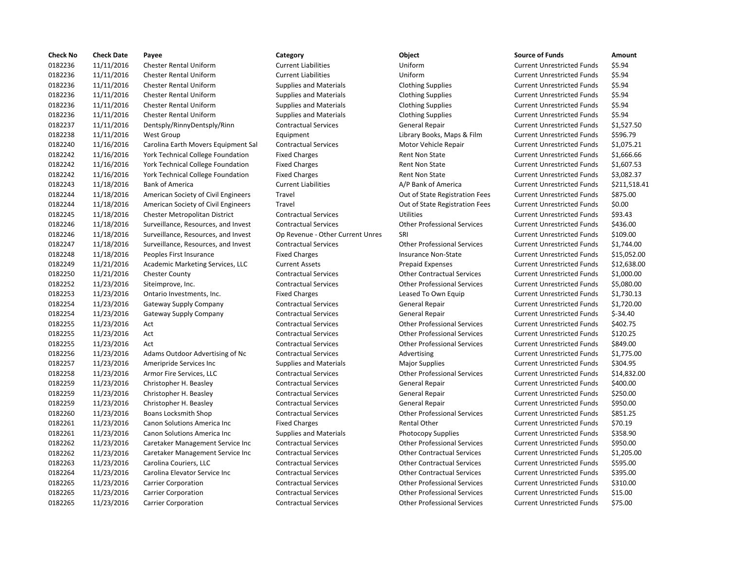| <b>Check No</b> | <b>Check Date</b> | Payee                                    | Category                         | Object                             | <b>Source of Funds</b>            | Amount    |
|-----------------|-------------------|------------------------------------------|----------------------------------|------------------------------------|-----------------------------------|-----------|
| 0182236         | 11/11/2016        | <b>Chester Rental Uniform</b>            | <b>Current Liabilities</b>       | Uniform                            | <b>Current Unrestricted Funds</b> | \$5.94    |
| 0182236         | 11/11/2016        | <b>Chester Rental Uniform</b>            | <b>Current Liabilities</b>       | Uniform                            | <b>Current Unrestricted Funds</b> | \$5.94    |
| 0182236         | 11/11/2016        | <b>Chester Rental Uniform</b>            | <b>Supplies and Materials</b>    | <b>Clothing Supplies</b>           | <b>Current Unrestricted Funds</b> | \$5.94    |
| 0182236         | 11/11/2016        | <b>Chester Rental Uniform</b>            | Supplies and Materials           | <b>Clothing Supplies</b>           | <b>Current Unrestricted Funds</b> | \$5.94    |
| 0182236         | 11/11/2016        | <b>Chester Rental Uniform</b>            | Supplies and Materials           | <b>Clothing Supplies</b>           | <b>Current Unrestricted Funds</b> | \$5.94    |
| 0182236         | 11/11/2016        | <b>Chester Rental Uniform</b>            | <b>Supplies and Materials</b>    | <b>Clothing Supplies</b>           | <b>Current Unrestricted Funds</b> | \$5.94    |
| 0182237         | 11/11/2016        | Dentsply/RinnyDentsply/Rinn              | <b>Contractual Services</b>      | General Repair                     | <b>Current Unrestricted Funds</b> | \$1,527.5 |
| 0182238         | 11/11/2016        | <b>West Group</b>                        | Equipment                        | Library Books, Maps & Film         | <b>Current Unrestricted Funds</b> | \$596.79  |
| 0182240         | 11/16/2016        | Carolina Earth Movers Equipment Sal      | <b>Contractual Services</b>      | Motor Vehicle Repair               | <b>Current Unrestricted Funds</b> | \$1,075.2 |
| 0182242         | 11/16/2016        | York Technical College Foundation        | <b>Fixed Charges</b>             | <b>Rent Non State</b>              | <b>Current Unrestricted Funds</b> | \$1,666.6 |
| 0182242         | 11/16/2016        | <b>York Technical College Foundation</b> | <b>Fixed Charges</b>             | <b>Rent Non State</b>              | <b>Current Unrestricted Funds</b> | \$1,607.5 |
| 0182242         | 11/16/2016        | <b>York Technical College Foundation</b> | <b>Fixed Charges</b>             | <b>Rent Non State</b>              | <b>Current Unrestricted Funds</b> | \$3,082.3 |
| 0182243         | 11/18/2016        | <b>Bank of America</b>                   | <b>Current Liabilities</b>       | A/P Bank of America                | <b>Current Unrestricted Funds</b> | \$211,51  |
| 0182244         | 11/18/2016        | American Society of Civil Engineers      | Travel                           | Out of State Registration Fees     | <b>Current Unrestricted Funds</b> | \$875.00  |
| 0182244         | 11/18/2016        | American Society of Civil Engineers      | Travel                           | Out of State Registration Fees     | <b>Current Unrestricted Funds</b> | \$0.00    |
| 0182245         | 11/18/2016        | Chester Metropolitan District            | <b>Contractual Services</b>      | <b>Utilities</b>                   | <b>Current Unrestricted Funds</b> | \$93.43   |
| 0182246         | 11/18/2016        | Surveillance, Resources, and Invest      | <b>Contractual Services</b>      | <b>Other Professional Services</b> | <b>Current Unrestricted Funds</b> | \$436.00  |
| 0182246         | 11/18/2016        | Surveillance, Resources, and Invest      | Op Revenue - Other Current Unres | SRI                                | <b>Current Unrestricted Funds</b> | \$109.00  |
| 0182247         | 11/18/2016        | Surveillance, Resources, and Invest      | <b>Contractual Services</b>      | <b>Other Professional Services</b> | <b>Current Unrestricted Funds</b> | \$1,744.0 |
| 0182248         | 11/18/2016        | Peoples First Insurance                  | <b>Fixed Charges</b>             | Insurance Non-State                | <b>Current Unrestricted Funds</b> | \$15,052  |
| 0182249         | 11/21/2016        | Academic Marketing Services, LLC         | <b>Current Assets</b>            | <b>Prepaid Expenses</b>            | <b>Current Unrestricted Funds</b> | \$12,638  |
| 0182250         | 11/21/2016        | <b>Chester County</b>                    | <b>Contractual Services</b>      | <b>Other Contractual Services</b>  | <b>Current Unrestricted Funds</b> | \$1,000.0 |
| 0182252         | 11/23/2016        | Siteimprove, Inc.                        | <b>Contractual Services</b>      | <b>Other Professional Services</b> | <b>Current Unrestricted Funds</b> | \$5,080.0 |
| 0182253         | 11/23/2016        | Ontario Investments, Inc.                | <b>Fixed Charges</b>             | Leased To Own Equip                | <b>Current Unrestricted Funds</b> | \$1,730.1 |
| 0182254         | 11/23/2016        | Gateway Supply Company                   | <b>Contractual Services</b>      | General Repair                     | <b>Current Unrestricted Funds</b> | \$1,720.0 |
| 0182254         | 11/23/2016        | <b>Gateway Supply Company</b>            | <b>Contractual Services</b>      | General Repair                     | <b>Current Unrestricted Funds</b> | $$-34.40$ |
| 0182255         | 11/23/2016        | Act                                      | <b>Contractual Services</b>      | <b>Other Professional Services</b> | <b>Current Unrestricted Funds</b> | \$402.75  |
| 0182255         | 11/23/2016        | Act                                      | <b>Contractual Services</b>      | <b>Other Professional Services</b> | <b>Current Unrestricted Funds</b> | \$120.25  |
| 0182255         | 11/23/2016        | Act                                      | <b>Contractual Services</b>      | <b>Other Professional Services</b> | <b>Current Unrestricted Funds</b> | \$849.00  |
| 0182256         | 11/23/2016        | Adams Outdoor Advertising of Nc          | <b>Contractual Services</b>      | Advertising                        | <b>Current Unrestricted Funds</b> | \$1,775.0 |
| 0182257         | 11/23/2016        | Ameripride Services Inc                  | <b>Supplies and Materials</b>    | <b>Major Supplies</b>              | <b>Current Unrestricted Funds</b> | \$304.95  |
| 0182258         | 11/23/2016        | Armor Fire Services, LLC                 | <b>Contractual Services</b>      | <b>Other Professional Services</b> | <b>Current Unrestricted Funds</b> | \$14,832  |
| 0182259         | 11/23/2016        | Christopher H. Beasley                   | <b>Contractual Services</b>      | <b>General Repair</b>              | <b>Current Unrestricted Funds</b> | \$400.00  |
| 0182259         | 11/23/2016        | Christopher H. Beasley                   | <b>Contractual Services</b>      | General Repair                     | <b>Current Unrestricted Funds</b> | \$250.00  |
| 0182259         | 11/23/2016        | Christopher H. Beasley                   | <b>Contractual Services</b>      | General Repair                     | <b>Current Unrestricted Funds</b> | \$950.00  |
| 0182260         | 11/23/2016        | Boans Locksmith Shop                     | <b>Contractual Services</b>      | <b>Other Professional Services</b> | <b>Current Unrestricted Funds</b> | \$851.25  |
| 0182261         | 11/23/2016        | Canon Solutions America Inc              | <b>Fixed Charges</b>             | Rental Other                       | <b>Current Unrestricted Funds</b> | \$70.19   |
| 0182261         | 11/23/2016        | Canon Solutions America Inc              | <b>Supplies and Materials</b>    | <b>Photocopy Supplies</b>          | <b>Current Unrestricted Funds</b> | \$358.90  |
| 0182262         | 11/23/2016        | Caretaker Management Service Inc         | <b>Contractual Services</b>      | <b>Other Professional Services</b> | <b>Current Unrestricted Funds</b> | \$950.00  |
| 0182262         | 11/23/2016        | Caretaker Management Service Inc         | <b>Contractual Services</b>      | <b>Other Contractual Services</b>  | <b>Current Unrestricted Funds</b> | \$1,205.0 |
| 0182263         | 11/23/2016        | Carolina Couriers, LLC                   | <b>Contractual Services</b>      | <b>Other Contractual Services</b>  | <b>Current Unrestricted Funds</b> | \$595.00  |
| 0182264         | 11/23/2016        | Carolina Elevator Service Inc            | <b>Contractual Services</b>      | <b>Other Contractual Services</b>  | <b>Current Unrestricted Funds</b> | \$395.00  |
| 0182265         | 11/23/2016        | <b>Carrier Corporation</b>               | <b>Contractual Services</b>      | <b>Other Professional Services</b> | <b>Current Unrestricted Funds</b> | \$310.00  |
| 0182265         | 11/23/2016        | <b>Carrier Corporation</b>               | <b>Contractual Services</b>      | <b>Other Professional Services</b> | <b>Current Unrestricted Funds</b> | \$15.00   |
| 0182265         | 11/23/2016        | <b>Carrier Corporation</b>               | <b>Contractual Services</b>      | <b>Other Professional Services</b> | <b>Current Unrestricted Funds</b> | \$75.00   |
|                 |                   |                                          |                                  |                                    |                                   |           |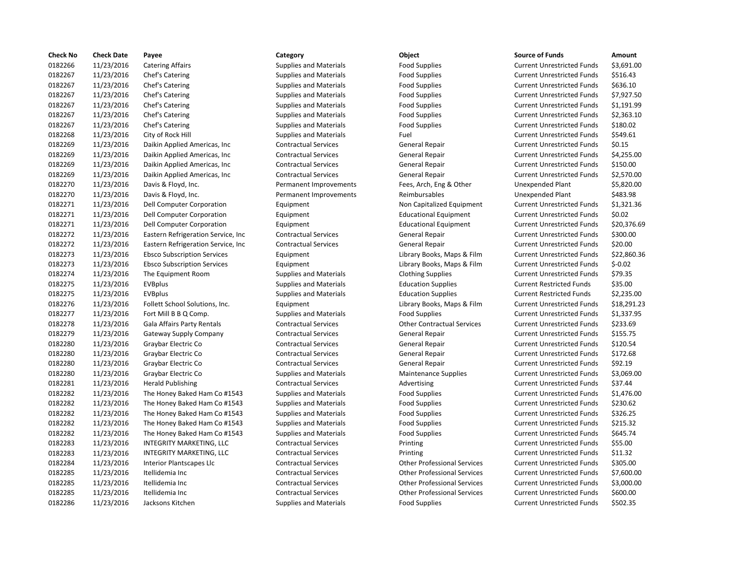| <b>Check No</b> | <b>Check Date</b> | Payee                               | Category                      | Object                             | <b>Source of Funds</b>            | Amount    |
|-----------------|-------------------|-------------------------------------|-------------------------------|------------------------------------|-----------------------------------|-----------|
| 0182266         | 11/23/2016        | <b>Catering Affairs</b>             | <b>Supplies and Materials</b> | <b>Food Supplies</b>               | <b>Current Unrestricted Funds</b> | \$3,691.0 |
| 0182267         | 11/23/2016        | Chef's Catering                     | <b>Supplies and Materials</b> | <b>Food Supplies</b>               | <b>Current Unrestricted Funds</b> | \$516.43  |
| 0182267         | 11/23/2016        | Chef's Catering                     | <b>Supplies and Materials</b> | <b>Food Supplies</b>               | <b>Current Unrestricted Funds</b> | \$636.10  |
| 0182267         | 11/23/2016        | Chef's Catering                     | <b>Supplies and Materials</b> | <b>Food Supplies</b>               | <b>Current Unrestricted Funds</b> | \$7,927.5 |
| 0182267         | 11/23/2016        | Chef's Catering                     | <b>Supplies and Materials</b> | <b>Food Supplies</b>               | <b>Current Unrestricted Funds</b> | \$1,191.9 |
| 0182267         | 11/23/2016        | Chef's Catering                     | <b>Supplies and Materials</b> | <b>Food Supplies</b>               | <b>Current Unrestricted Funds</b> | \$2,363.1 |
| 0182267         | 11/23/2016        | Chef's Catering                     | Supplies and Materials        | <b>Food Supplies</b>               | <b>Current Unrestricted Funds</b> | \$180.02  |
| 0182268         | 11/23/2016        | City of Rock Hill                   | <b>Supplies and Materials</b> | Fuel                               | <b>Current Unrestricted Funds</b> | \$549.61  |
| 0182269         | 11/23/2016        | Daikin Applied Americas, Inc.       | <b>Contractual Services</b>   | General Repair                     | <b>Current Unrestricted Funds</b> | \$0.15    |
| 0182269         | 11/23/2016        | Daikin Applied Americas, Inc.       | <b>Contractual Services</b>   | General Repair                     | <b>Current Unrestricted Funds</b> | \$4,255.0 |
| 0182269         | 11/23/2016        | Daikin Applied Americas, Inc.       | <b>Contractual Services</b>   | General Repair                     | <b>Current Unrestricted Funds</b> | \$150.00  |
| 0182269         | 11/23/2016        | Daikin Applied Americas, Inc.       | <b>Contractual Services</b>   | General Repair                     | <b>Current Unrestricted Funds</b> | \$2,570.0 |
| 0182270         | 11/23/2016        | Davis & Floyd, Inc.                 | Permanent Improvements        | Fees, Arch, Eng & Other            | Unexpended Plant                  | \$5,820.0 |
| 0182270         | 11/23/2016        | Davis & Floyd, Inc.                 | Permanent Improvements        | Reimbursables                      | Unexpended Plant                  | \$483.98  |
| 0182271         | 11/23/2016        | Dell Computer Corporation           | Equipment                     | Non Capitalized Equipment          | <b>Current Unrestricted Funds</b> | \$1,321.3 |
| 0182271         | 11/23/2016        | Dell Computer Corporation           | Equipment                     | <b>Educational Equipment</b>       | <b>Current Unrestricted Funds</b> | \$0.02    |
| 0182271         | 11/23/2016        | Dell Computer Corporation           | Equipment                     | <b>Educational Equipment</b>       | <b>Current Unrestricted Funds</b> | \$20,376  |
| 0182272         | 11/23/2016        | Eastern Refrigeration Service, Inc  | <b>Contractual Services</b>   | General Repair                     | <b>Current Unrestricted Funds</b> | \$300.00  |
| 0182272         | 11/23/2016        | Eastern Refrigeration Service, Inc. | <b>Contractual Services</b>   | General Repair                     | <b>Current Unrestricted Funds</b> | \$20.00   |
| 0182273         | 11/23/2016        | <b>Ebsco Subscription Services</b>  | Equipment                     | Library Books, Maps & Film         | <b>Current Unrestricted Funds</b> | \$22,860  |
| 0182273         | 11/23/2016        | <b>Ebsco Subscription Services</b>  | Equipment                     | Library Books, Maps & Film         | <b>Current Unrestricted Funds</b> | $$-0.02$  |
| 0182274         | 11/23/2016        | The Equipment Room                  | <b>Supplies and Materials</b> | <b>Clothing Supplies</b>           | <b>Current Unrestricted Funds</b> | \$79.35   |
| 0182275         | 11/23/2016        | <b>EVBplus</b>                      | <b>Supplies and Materials</b> | <b>Education Supplies</b>          | <b>Current Restricted Funds</b>   | \$35.00   |
| 0182275         | 11/23/2016        | <b>EVBplus</b>                      | <b>Supplies and Materials</b> | <b>Education Supplies</b>          | <b>Current Restricted Funds</b>   | \$2,235.0 |
| 0182276         | 11/23/2016        | Follett School Solutions, Inc.      | Equipment                     | Library Books, Maps & Film         | <b>Current Unrestricted Funds</b> | \$18,291  |
| 0182277         | 11/23/2016        | Fort Mill B B Q Comp.               | <b>Supplies and Materials</b> | <b>Food Supplies</b>               | <b>Current Unrestricted Funds</b> | \$1,337.9 |
| 0182278         | 11/23/2016        | <b>Gala Affairs Party Rentals</b>   | <b>Contractual Services</b>   | <b>Other Contractual Services</b>  | <b>Current Unrestricted Funds</b> | \$233.69  |
| 0182279         | 11/23/2016        | Gateway Supply Company              | <b>Contractual Services</b>   | General Repair                     | <b>Current Unrestricted Funds</b> | \$155.75  |
| 0182280         | 11/23/2016        | Graybar Electric Co                 | <b>Contractual Services</b>   | General Repair                     | <b>Current Unrestricted Funds</b> | \$120.54  |
| 0182280         | 11/23/2016        | Graybar Electric Co                 | <b>Contractual Services</b>   | General Repair                     | <b>Current Unrestricted Funds</b> | \$172.68  |
| 0182280         | 11/23/2016        | Graybar Electric Co                 | <b>Contractual Services</b>   | General Repair                     | <b>Current Unrestricted Funds</b> | \$92.19   |
| 0182280         | 11/23/2016        | Graybar Electric Co                 | <b>Supplies and Materials</b> | <b>Maintenance Supplies</b>        | <b>Current Unrestricted Funds</b> | \$3,069.0 |
| 0182281         | 11/23/2016        | <b>Herald Publishing</b>            | <b>Contractual Services</b>   | Advertising                        | <b>Current Unrestricted Funds</b> | \$37.44   |
| 0182282         | 11/23/2016        | The Honey Baked Ham Co #1543        | <b>Supplies and Materials</b> | <b>Food Supplies</b>               | <b>Current Unrestricted Funds</b> | \$1,476.0 |
| 0182282         | 11/23/2016        | The Honey Baked Ham Co #1543        | <b>Supplies and Materials</b> | <b>Food Supplies</b>               | <b>Current Unrestricted Funds</b> | \$230.62  |
| 0182282         | 11/23/2016        | The Honey Baked Ham Co #1543        | <b>Supplies and Materials</b> | <b>Food Supplies</b>               | <b>Current Unrestricted Funds</b> | \$326.25  |
| 0182282         | 11/23/2016        | The Honey Baked Ham Co #1543        | <b>Supplies and Materials</b> | <b>Food Supplies</b>               | <b>Current Unrestricted Funds</b> | \$215.32  |
| 0182282         | 11/23/2016        | The Honey Baked Ham Co #1543        | <b>Supplies and Materials</b> | <b>Food Supplies</b>               | <b>Current Unrestricted Funds</b> | \$645.74  |
| 0182283         | 11/23/2016        | INTEGRITY MARKETING, LLC            | <b>Contractual Services</b>   | Printing                           | <b>Current Unrestricted Funds</b> | \$55.00   |
| 0182283         | 11/23/2016        | INTEGRITY MARKETING, LLC            | <b>Contractual Services</b>   | Printing                           | <b>Current Unrestricted Funds</b> | \$11.32   |
| 0182284         | 11/23/2016        | Interior Plantscapes Llc            | <b>Contractual Services</b>   | <b>Other Professional Services</b> | <b>Current Unrestricted Funds</b> | \$305.00  |
| 0182285         | 11/23/2016        | Itellidemia Inc                     | <b>Contractual Services</b>   | <b>Other Professional Services</b> | <b>Current Unrestricted Funds</b> | \$7,600.0 |
| 0182285         | 11/23/2016        | Itellidemia Inc                     | <b>Contractual Services</b>   | <b>Other Professional Services</b> | <b>Current Unrestricted Funds</b> | \$3,000.0 |
| 0182285         | 11/23/2016        | Itellidemia Inc                     | <b>Contractual Services</b>   | <b>Other Professional Services</b> | <b>Current Unrestricted Funds</b> | \$600.00  |
| 0182286         | 11/23/2016        | Jacksons Kitchen                    | <b>Supplies and Materials</b> | <b>Food Supplies</b>               | <b>Current Unrestricted Funds</b> | \$502.35  |
|                 |                   |                                     |                               |                                    |                                   |           |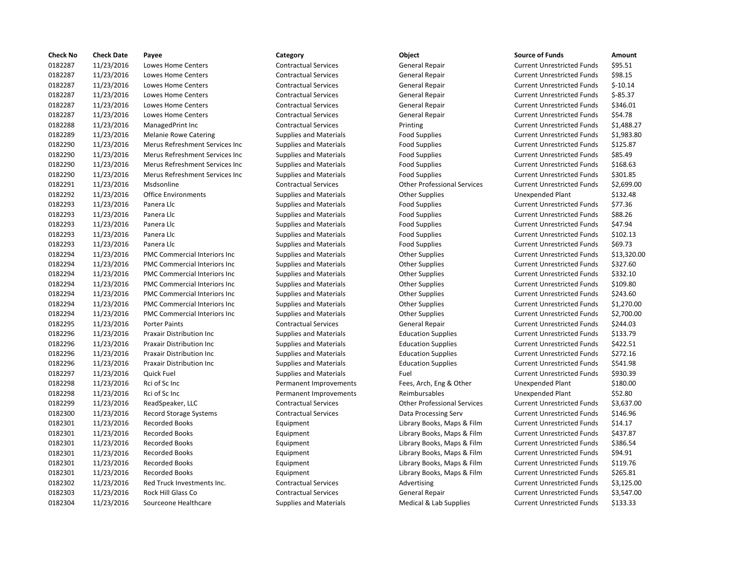| <b>Check No</b> | <b>Check Date</b> | Payee                                | Category                      | Object                             | <b>Source of Funds</b>            | Amount     |
|-----------------|-------------------|--------------------------------------|-------------------------------|------------------------------------|-----------------------------------|------------|
| 0182287         | 11/23/2016        | Lowes Home Centers                   | <b>Contractual Services</b>   | <b>General Repair</b>              | <b>Current Unrestricted Funds</b> | \$95.51    |
| 0182287         | 11/23/2016        | <b>Lowes Home Centers</b>            | <b>Contractual Services</b>   | General Repair                     | <b>Current Unrestricted Funds</b> | \$98.15    |
| 0182287         | 11/23/2016        | Lowes Home Centers                   | <b>Contractual Services</b>   | General Repair                     | <b>Current Unrestricted Funds</b> | $$-10.14$  |
| 0182287         | 11/23/2016        | Lowes Home Centers                   | <b>Contractual Services</b>   | General Repair                     | <b>Current Unrestricted Funds</b> | $$-85.37$  |
| 0182287         | 11/23/2016        | Lowes Home Centers                   | <b>Contractual Services</b>   | General Repair                     | <b>Current Unrestricted Funds</b> | \$346.01   |
| 0182287         | 11/23/2016        | Lowes Home Centers                   | <b>Contractual Services</b>   | General Repair                     | <b>Current Unrestricted Funds</b> | \$54.78    |
| 0182288         | 11/23/2016        | ManagedPrint Inc                     | <b>Contractual Services</b>   | Printing                           | <b>Current Unrestricted Funds</b> | \$1,488.27 |
| 0182289         | 11/23/2016        | <b>Melanie Rowe Catering</b>         | <b>Supplies and Materials</b> | <b>Food Supplies</b>               | <b>Current Unrestricted Funds</b> | \$1,983.80 |
| 0182290         | 11/23/2016        | Merus Refreshment Services Inc       | <b>Supplies and Materials</b> | <b>Food Supplies</b>               | <b>Current Unrestricted Funds</b> | \$125.87   |
| 0182290         | 11/23/2016        | Merus Refreshment Services Inc       | <b>Supplies and Materials</b> | <b>Food Supplies</b>               | <b>Current Unrestricted Funds</b> | \$85.49    |
| 0182290         | 11/23/2016        | Merus Refreshment Services Inc       | <b>Supplies and Materials</b> | <b>Food Supplies</b>               | <b>Current Unrestricted Funds</b> | \$168.63   |
| 0182290         | 11/23/2016        | Merus Refreshment Services Inc       | <b>Supplies and Materials</b> | <b>Food Supplies</b>               | <b>Current Unrestricted Funds</b> | \$301.85   |
| 0182291         | 11/23/2016        | Msdsonline                           | <b>Contractual Services</b>   | <b>Other Professional Services</b> | <b>Current Unrestricted Funds</b> | \$2,699.00 |
| 0182292         | 11/23/2016        | <b>Office Environments</b>           | <b>Supplies and Materials</b> | <b>Other Supplies</b>              | <b>Unexpended Plant</b>           | \$132.48   |
| 0182293         | 11/23/2016        | Panera Llc                           | <b>Supplies and Materials</b> | <b>Food Supplies</b>               | <b>Current Unrestricted Funds</b> | \$77.36    |
| 0182293         | 11/23/2016        | Panera Llc                           | <b>Supplies and Materials</b> | <b>Food Supplies</b>               | <b>Current Unrestricted Funds</b> | \$88.26    |
| 0182293         | 11/23/2016        | Panera Llc                           | Supplies and Materials        | <b>Food Supplies</b>               | <b>Current Unrestricted Funds</b> | \$47.94    |
| 0182293         | 11/23/2016        | Panera Llc                           | <b>Supplies and Materials</b> | <b>Food Supplies</b>               | <b>Current Unrestricted Funds</b> | \$102.13   |
| 0182293         | 11/23/2016        | Panera Llc                           | <b>Supplies and Materials</b> | <b>Food Supplies</b>               | <b>Current Unrestricted Funds</b> | \$69.73    |
| 0182294         | 11/23/2016        | PMC Commercial Interiors Inc         | <b>Supplies and Materials</b> | <b>Other Supplies</b>              | <b>Current Unrestricted Funds</b> | \$13,320.0 |
| 0182294         | 11/23/2016        | PMC Commercial Interiors Inc         | <b>Supplies and Materials</b> | <b>Other Supplies</b>              | <b>Current Unrestricted Funds</b> | \$327.60   |
| 0182294         | 11/23/2016        | <b>PMC Commercial Interiors Inc.</b> | <b>Supplies and Materials</b> | <b>Other Supplies</b>              | <b>Current Unrestricted Funds</b> | \$332.10   |
| 0182294         | 11/23/2016        | PMC Commercial Interiors Inc         | <b>Supplies and Materials</b> | <b>Other Supplies</b>              | <b>Current Unrestricted Funds</b> | \$109.80   |
| 0182294         | 11/23/2016        | PMC Commercial Interiors Inc         | <b>Supplies and Materials</b> | <b>Other Supplies</b>              | <b>Current Unrestricted Funds</b> | \$243.60   |
| 0182294         | 11/23/2016        | PMC Commercial Interiors Inc         | <b>Supplies and Materials</b> | <b>Other Supplies</b>              | <b>Current Unrestricted Funds</b> | \$1,270.00 |
| 0182294         | 11/23/2016        | PMC Commercial Interiors Inc         | <b>Supplies and Materials</b> | <b>Other Supplies</b>              | <b>Current Unrestricted Funds</b> | \$2,700.00 |
| 0182295         | 11/23/2016        | <b>Porter Paints</b>                 | <b>Contractual Services</b>   | <b>General Repair</b>              | <b>Current Unrestricted Funds</b> | \$244.03   |
| 0182296         | 11/23/2016        | <b>Praxair Distribution Inc</b>      | <b>Supplies and Materials</b> | <b>Education Supplies</b>          | <b>Current Unrestricted Funds</b> | \$133.79   |
| 0182296         | 11/23/2016        | Praxair Distribution Inc             | <b>Supplies and Materials</b> | <b>Education Supplies</b>          | <b>Current Unrestricted Funds</b> | \$422.51   |
| 0182296         | 11/23/2016        | Praxair Distribution Inc             | <b>Supplies and Materials</b> | <b>Education Supplies</b>          | <b>Current Unrestricted Funds</b> | \$272.16   |
| 0182296         | 11/23/2016        | Praxair Distribution Inc             | <b>Supplies and Materials</b> | <b>Education Supplies</b>          | <b>Current Unrestricted Funds</b> | \$541.98   |
| 0182297         | 11/23/2016        | Quick Fuel                           | <b>Supplies and Materials</b> | Fuel                               | <b>Current Unrestricted Funds</b> | \$930.39   |
| 0182298         | 11/23/2016        | Rci of Sc Inc                        | Permanent Improvements        | Fees, Arch, Eng & Other            | Unexpended Plant                  | \$180.00   |
| 0182298         | 11/23/2016        | Rci of Sc Inc                        | Permanent Improvements        | Reimbursables                      | <b>Unexpended Plant</b>           | \$52.80    |
| 0182299         | 11/23/2016        | ReadSpeaker, LLC                     | <b>Contractual Services</b>   | <b>Other Professional Services</b> | <b>Current Unrestricted Funds</b> | \$3,637.00 |
| 0182300         | 11/23/2016        | <b>Record Storage Systems</b>        | <b>Contractual Services</b>   | Data Processing Serv               | <b>Current Unrestricted Funds</b> | \$146.96   |
| 0182301         | 11/23/2016        | <b>Recorded Books</b>                | Equipment                     | Library Books, Maps & Film         | <b>Current Unrestricted Funds</b> | \$14.17    |
| 0182301         | 11/23/2016        | <b>Recorded Books</b>                | Equipment                     | Library Books, Maps & Film         | <b>Current Unrestricted Funds</b> | \$437.87   |
| 0182301         | 11/23/2016        | <b>Recorded Books</b>                | Equipment                     | Library Books, Maps & Film         | <b>Current Unrestricted Funds</b> | \$386.54   |
| 0182301         | 11/23/2016        | <b>Recorded Books</b>                | Equipment                     | Library Books, Maps & Film         | <b>Current Unrestricted Funds</b> | \$94.91    |
| 0182301         | 11/23/2016        | <b>Recorded Books</b>                | Equipment                     | Library Books, Maps & Film         | <b>Current Unrestricted Funds</b> | \$119.76   |
| 0182301         | 11/23/2016        | <b>Recorded Books</b>                | Equipment                     | Library Books, Maps & Film         | <b>Current Unrestricted Funds</b> | \$265.81   |
| 0182302         | 11/23/2016        | Red Truck Investments Inc.           | <b>Contractual Services</b>   | Advertising                        | <b>Current Unrestricted Funds</b> | \$3,125.00 |
| 0182303         | 11/23/2016        | Rock Hill Glass Co                   | <b>Contractual Services</b>   | General Repair                     | <b>Current Unrestricted Funds</b> | \$3,547.00 |
| 0182304         | 11/23/2016        | Sourceone Healthcare                 | <b>Supplies and Materials</b> | Medical & Lab Supplies             | <b>Current Unrestricted Funds</b> | \$133.33   |

| <b>Source of Funds</b>            | Amount      |
|-----------------------------------|-------------|
| <b>Current Unrestricted Funds</b> | \$95.51     |
| <b>Current Unrestricted Funds</b> | \$98.15     |
| <b>Current Unrestricted Funds</b> | $$-10.14$   |
| <b>Current Unrestricted Funds</b> | $$-85.37$   |
| <b>Current Unrestricted Funds</b> | \$346.01    |
| <b>Current Unrestricted Funds</b> | \$54.78     |
| <b>Current Unrestricted Funds</b> | \$1,488.27  |
| <b>Current Unrestricted Funds</b> | \$1,983.80  |
| <b>Current Unrestricted Funds</b> | \$125.87    |
| <b>Current Unrestricted Funds</b> | \$85.49     |
| <b>Current Unrestricted Funds</b> | \$168.63    |
| <b>Current Unrestricted Funds</b> | \$301.85    |
| <b>Current Unrestricted Funds</b> | \$2,699.00  |
| <b>Unexpended Plant</b>           | \$132.48    |
| <b>Current Unrestricted Funds</b> | \$77.36     |
| <b>Current Unrestricted Funds</b> | \$88.26     |
| <b>Current Unrestricted Funds</b> | \$47.94     |
| <b>Current Unrestricted Funds</b> | \$102.13    |
| <b>Current Unrestricted Funds</b> | \$69.73     |
| <b>Current Unrestricted Funds</b> | \$13,320.00 |
| <b>Current Unrestricted Funds</b> | \$327.60    |
| <b>Current Unrestricted Funds</b> | \$332.10    |
| <b>Current Unrestricted Funds</b> | \$109.80    |
| <b>Current Unrestricted Funds</b> | \$243.60    |
| <b>Current Unrestricted Funds</b> | \$1,270.00  |
| <b>Current Unrestricted Funds</b> | \$2,700.00  |
| <b>Current Unrestricted Funds</b> | \$244.03    |
| <b>Current Unrestricted Funds</b> | \$133.79    |
| <b>Current Unrestricted Funds</b> | \$422.51    |
| <b>Current Unrestricted Funds</b> | \$272.16    |
| <b>Current Unrestricted Funds</b> | \$541.98    |
| <b>Current Unrestricted Funds</b> | \$930.39    |
| <b>Unexpended Plant</b>           | \$180.00    |
| <b>Unexpended Plant</b>           | \$52.80     |
| <b>Current Unrestricted Funds</b> | \$3,637.00  |
| <b>Current Unrestricted Funds</b> | \$146.96    |
| <b>Current Unrestricted Funds</b> | \$14.17     |
| <b>Current Unrestricted Funds</b> | \$437.87    |
| <b>Current Unrestricted Funds</b> | \$386.54    |
| <b>Current Unrestricted Funds</b> | \$94.91     |
| <b>Current Unrestricted Funds</b> | \$119.76    |
| <b>Current Unrestricted Funds</b> | \$265.81    |
| <b>Current Unrestricted Funds</b> | \$3,125.00  |
| <b>Current Unrestricted Funds</b> | \$3,547.00  |
| Curront Unroctrictod Eunde        | ככ ככול     |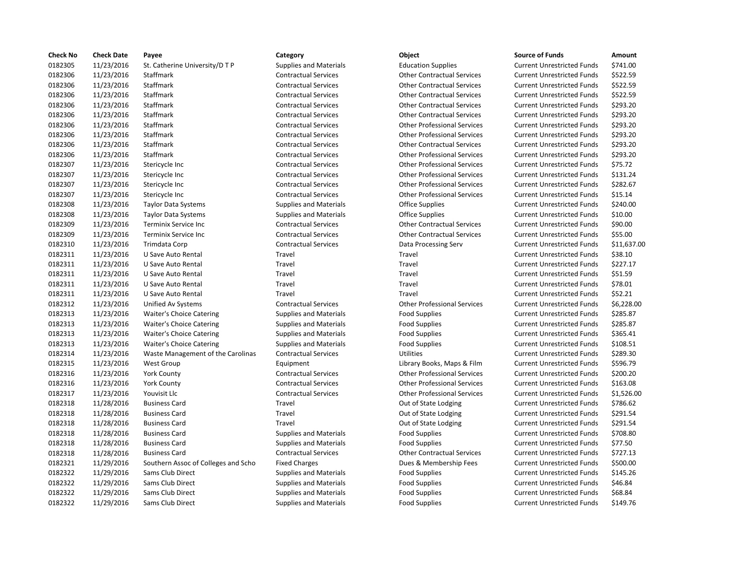| <b>Check No</b> | <b>Check Date</b> | Payee                               | Category                      | Object                             | <b>Source of Funds</b>            | Amount    |
|-----------------|-------------------|-------------------------------------|-------------------------------|------------------------------------|-----------------------------------|-----------|
| 0182305         | 11/23/2016        | St. Catherine University/D T P      | <b>Supplies and Materials</b> | <b>Education Supplies</b>          | <b>Current Unrestricted Funds</b> | \$741.00  |
| 0182306         | 11/23/2016        | Staffmark                           | <b>Contractual Services</b>   | <b>Other Contractual Services</b>  | <b>Current Unrestricted Funds</b> | \$522.59  |
| 0182306         | 11/23/2016        | Staffmark                           | <b>Contractual Services</b>   | <b>Other Contractual Services</b>  | <b>Current Unrestricted Funds</b> | \$522.59  |
| 0182306         | 11/23/2016        | Staffmark                           | <b>Contractual Services</b>   | <b>Other Contractual Services</b>  | <b>Current Unrestricted Funds</b> | \$522.59  |
| 0182306         | 11/23/2016        | Staffmark                           | <b>Contractual Services</b>   | <b>Other Contractual Services</b>  | <b>Current Unrestricted Funds</b> | \$293.20  |
| 0182306         | 11/23/2016        | <b>Staffmark</b>                    | <b>Contractual Services</b>   | <b>Other Contractual Services</b>  | <b>Current Unrestricted Funds</b> | \$293.20  |
| 0182306         | 11/23/2016        | Staffmark                           | <b>Contractual Services</b>   | <b>Other Professional Services</b> | <b>Current Unrestricted Funds</b> | \$293.20  |
| 0182306         | 11/23/2016        | Staffmark                           | <b>Contractual Services</b>   | <b>Other Professional Services</b> | <b>Current Unrestricted Funds</b> | \$293.20  |
| 0182306         | 11/23/2016        | <b>Staffmark</b>                    | <b>Contractual Services</b>   | <b>Other Contractual Services</b>  | <b>Current Unrestricted Funds</b> | \$293.20  |
| 0182306         | 11/23/2016        | Staffmark                           | <b>Contractual Services</b>   | <b>Other Professional Services</b> | <b>Current Unrestricted Funds</b> | \$293.20  |
| 0182307         | 11/23/2016        | Stericycle Inc                      | <b>Contractual Services</b>   | <b>Other Professional Services</b> | <b>Current Unrestricted Funds</b> | \$75.72   |
| 0182307         | 11/23/2016        | Stericycle Inc                      | <b>Contractual Services</b>   | <b>Other Professional Services</b> | <b>Current Unrestricted Funds</b> | \$131.24  |
| 0182307         | 11/23/2016        | Stericycle Inc                      | <b>Contractual Services</b>   | <b>Other Professional Services</b> | <b>Current Unrestricted Funds</b> | \$282.67  |
| 0182307         | 11/23/2016        | Stericycle Inc                      | <b>Contractual Services</b>   | <b>Other Professional Services</b> | <b>Current Unrestricted Funds</b> | \$15.14   |
| 0182308         | 11/23/2016        | <b>Taylor Data Systems</b>          | <b>Supplies and Materials</b> | Office Supplies                    | <b>Current Unrestricted Funds</b> | \$240.00  |
| 0182308         | 11/23/2016        | <b>Taylor Data Systems</b>          | <b>Supplies and Materials</b> | <b>Office Supplies</b>             | <b>Current Unrestricted Funds</b> | \$10.00   |
| 0182309         | 11/23/2016        | Terminix Service Inc                | <b>Contractual Services</b>   | <b>Other Contractual Services</b>  | <b>Current Unrestricted Funds</b> | \$90.00   |
| 0182309         | 11/23/2016        | <b>Terminix Service Inc</b>         | <b>Contractual Services</b>   | <b>Other Contractual Services</b>  | <b>Current Unrestricted Funds</b> | \$55.00   |
| 0182310         | 11/23/2016        | Trimdata Corp                       | <b>Contractual Services</b>   | Data Processing Serv               | <b>Current Unrestricted Funds</b> | \$11,637  |
| 0182311         | 11/23/2016        | U Save Auto Rental                  | Travel                        | Travel                             | <b>Current Unrestricted Funds</b> | \$38.10   |
| 0182311         | 11/23/2016        | U Save Auto Rental                  | Travel                        | Travel                             | <b>Current Unrestricted Funds</b> | \$227.17  |
| 0182311         | 11/23/2016        | U Save Auto Rental                  | Travel                        | Travel                             | <b>Current Unrestricted Funds</b> | \$51.59   |
| 0182311         | 11/23/2016        | U Save Auto Rental                  | Travel                        | Travel                             | <b>Current Unrestricted Funds</b> | \$78.01   |
| 0182311         | 11/23/2016        | U Save Auto Rental                  | Travel                        | Travel                             | <b>Current Unrestricted Funds</b> | \$52.21   |
| 0182312         | 11/23/2016        | Unified Av Systems                  | <b>Contractual Services</b>   | <b>Other Professional Services</b> | <b>Current Unrestricted Funds</b> | \$6,228.0 |
| 0182313         | 11/23/2016        | <b>Waiter's Choice Catering</b>     | <b>Supplies and Materials</b> | <b>Food Supplies</b>               | <b>Current Unrestricted Funds</b> | \$285.87  |
| 0182313         | 11/23/2016        | <b>Waiter's Choice Catering</b>     | <b>Supplies and Materials</b> | <b>Food Supplies</b>               | <b>Current Unrestricted Funds</b> | \$285.87  |
| 0182313         | 11/23/2016        | <b>Waiter's Choice Catering</b>     | <b>Supplies and Materials</b> | <b>Food Supplies</b>               | <b>Current Unrestricted Funds</b> | \$365.41  |
| 0182313         | 11/23/2016        | <b>Waiter's Choice Catering</b>     | <b>Supplies and Materials</b> | <b>Food Supplies</b>               | <b>Current Unrestricted Funds</b> | \$108.51  |
| 0182314         | 11/23/2016        | Waste Management of the Carolinas   | <b>Contractual Services</b>   | <b>Utilities</b>                   | <b>Current Unrestricted Funds</b> | \$289.30  |
| 0182315         | 11/23/2016        | West Group                          | Equipment                     | Library Books, Maps & Film         | <b>Current Unrestricted Funds</b> | \$596.79  |
| 0182316         | 11/23/2016        | <b>York County</b>                  | <b>Contractual Services</b>   | <b>Other Professional Services</b> | <b>Current Unrestricted Funds</b> | \$200.20  |
| 0182316         | 11/23/2016        | <b>York County</b>                  | <b>Contractual Services</b>   | <b>Other Professional Services</b> | <b>Current Unrestricted Funds</b> | \$163.08  |
| 0182317         | 11/23/2016        | Youvisit Llc                        | <b>Contractual Services</b>   | <b>Other Professional Services</b> | <b>Current Unrestricted Funds</b> | \$1,526.0 |
| 0182318         | 11/28/2016        | <b>Business Card</b>                | Travel                        | Out of State Lodging               | <b>Current Unrestricted Funds</b> | \$786.62  |
| 0182318         | 11/28/2016        | <b>Business Card</b>                | Travel                        | Out of State Lodging               | <b>Current Unrestricted Funds</b> | \$291.54  |
| 0182318         | 11/28/2016        | <b>Business Card</b>                | Travel                        | Out of State Lodging               | <b>Current Unrestricted Funds</b> | \$291.54  |
| 0182318         | 11/28/2016        | <b>Business Card</b>                | <b>Supplies and Materials</b> | <b>Food Supplies</b>               | <b>Current Unrestricted Funds</b> | \$708.80  |
| 0182318         | 11/28/2016        | <b>Business Card</b>                | <b>Supplies and Materials</b> | <b>Food Supplies</b>               | <b>Current Unrestricted Funds</b> | \$77.50   |
| 0182318         | 11/28/2016        | <b>Business Card</b>                | <b>Contractual Services</b>   | <b>Other Contractual Services</b>  | <b>Current Unrestricted Funds</b> | \$727.13  |
| 0182321         | 11/29/2016        | Southern Assoc of Colleges and Scho | <b>Fixed Charges</b>          | Dues & Membership Fees             | <b>Current Unrestricted Funds</b> | \$500.00  |
| 0182322         | 11/29/2016        | Sams Club Direct                    | <b>Supplies and Materials</b> | <b>Food Supplies</b>               | <b>Current Unrestricted Funds</b> | \$145.26  |
| 0182322         | 11/29/2016        | Sams Club Direct                    | <b>Supplies and Materials</b> | <b>Food Supplies</b>               | <b>Current Unrestricted Funds</b> | \$46.84   |
| 0182322         | 11/29/2016        | Sams Club Direct                    | <b>Supplies and Materials</b> | <b>Food Supplies</b>               | <b>Current Unrestricted Funds</b> | \$68.84   |
| 0182322         | 11/29/2016        | Sams Club Direct                    | <b>Supplies and Materials</b> | <b>Food Supplies</b>               | <b>Current Unrestricted Funds</b> | \$149.76  |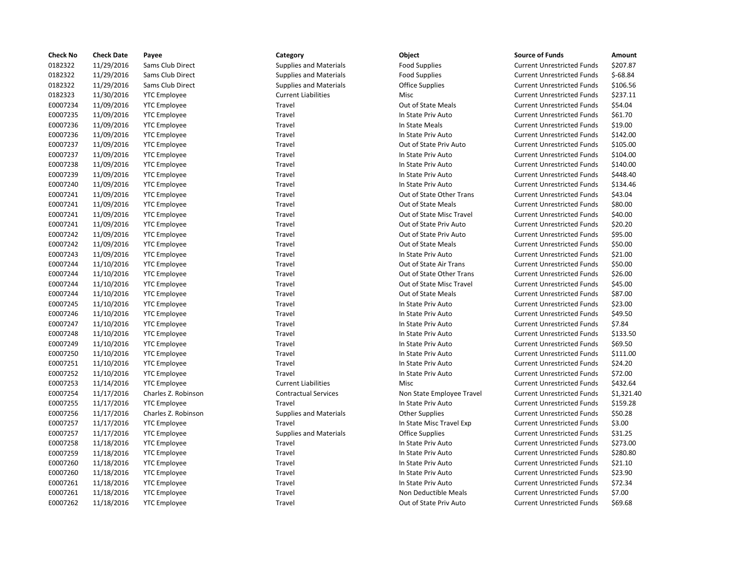| <b>Check No</b> | <b>Check Date</b> | Payee               | Category                      | Object                    | <b>Source of Funds</b>            | Amount    |
|-----------------|-------------------|---------------------|-------------------------------|---------------------------|-----------------------------------|-----------|
| 0182322         | 11/29/2016        | Sams Club Direct    | <b>Supplies and Materials</b> | <b>Food Supplies</b>      | <b>Current Unrestricted Funds</b> | \$207.87  |
| 0182322         | 11/29/2016        | Sams Club Direct    | <b>Supplies and Materials</b> | <b>Food Supplies</b>      | <b>Current Unrestricted Funds</b> | $$-68.84$ |
| 0182322         | 11/29/2016        | Sams Club Direct    | <b>Supplies and Materials</b> | <b>Office Supplies</b>    | <b>Current Unrestricted Funds</b> | \$106.56  |
| 0182323         | 11/30/2016        | <b>YTC</b> Employee | <b>Current Liabilities</b>    | <b>Misc</b>               | <b>Current Unrestricted Funds</b> | \$237.11  |
| E0007234        | 11/09/2016        | <b>YTC Employee</b> | Travel                        | Out of State Meals        | <b>Current Unrestricted Funds</b> | \$54.04   |
| E0007235        | 11/09/2016        | <b>YTC Employee</b> | Travel                        | In State Priv Auto        | <b>Current Unrestricted Funds</b> | \$61.70   |
| E0007236        | 11/09/2016        | <b>YTC Employee</b> | Travel                        | In State Meals            | <b>Current Unrestricted Funds</b> | \$19.00   |
| E0007236        | 11/09/2016        | <b>YTC Employee</b> | Travel                        | In State Priv Auto        | <b>Current Unrestricted Funds</b> | \$142.00  |
| E0007237        | 11/09/2016        | <b>YTC Employee</b> | Travel                        | Out of State Priv Auto    | <b>Current Unrestricted Funds</b> | \$105.00  |
| E0007237        | 11/09/2016        | <b>YTC</b> Employee | Travel                        | In State Priv Auto        | <b>Current Unrestricted Funds</b> | \$104.00  |
| E0007238        | 11/09/2016        | <b>YTC Employee</b> | Travel                        | In State Priv Auto        | <b>Current Unrestricted Funds</b> | \$140.00  |
| E0007239        | 11/09/2016        | <b>YTC Employee</b> | Travel                        | In State Priv Auto        | <b>Current Unrestricted Funds</b> | \$448.40  |
| E0007240        | 11/09/2016        | <b>YTC</b> Employee | Travel                        | In State Priv Auto        | <b>Current Unrestricted Funds</b> | \$134.46  |
| E0007241        | 11/09/2016        | <b>YTC Employee</b> | Travel                        | Out of State Other Trans  | <b>Current Unrestricted Funds</b> | \$43.04   |
| E0007241        | 11/09/2016        | <b>YTC Employee</b> | Travel                        | Out of State Meals        | <b>Current Unrestricted Funds</b> | \$80.00   |
| E0007241        | 11/09/2016        | <b>YTC Employee</b> | Travel                        | Out of State Misc Travel  | <b>Current Unrestricted Funds</b> | \$40.00   |
| E0007241        | 11/09/2016        | <b>YTC</b> Employee | Travel                        | Out of State Priv Auto    | <b>Current Unrestricted Funds</b> | \$20.20   |
| E0007242        | 11/09/2016        | <b>YTC</b> Employee | Travel                        | Out of State Priv Auto    | <b>Current Unrestricted Funds</b> | \$95.00   |
| E0007242        | 11/09/2016        | <b>YTC Employee</b> | Travel                        | Out of State Meals        | <b>Current Unrestricted Funds</b> | \$50.00   |
| E0007243        | 11/09/2016        | <b>YTC Employee</b> | Travel                        | In State Priv Auto        | <b>Current Unrestricted Funds</b> | \$21.00   |
| E0007244        | 11/10/2016        | <b>YTC Employee</b> | Travel                        | Out of State Air Trans    | <b>Current Unrestricted Funds</b> | \$50.00   |
| E0007244        | 11/10/2016        | <b>YTC</b> Employee | Travel                        | Out of State Other Trans  | <b>Current Unrestricted Funds</b> | \$26.00   |
| E0007244        | 11/10/2016        | <b>YTC Employee</b> | Travel                        | Out of State Misc Travel  | <b>Current Unrestricted Funds</b> | \$45.00   |
| E0007244        | 11/10/2016        | <b>YTC</b> Employee | Travel                        | Out of State Meals        | <b>Current Unrestricted Funds</b> | \$87.00   |
| E0007245        | 11/10/2016        | <b>YTC Employee</b> | Travel                        | In State Priv Auto        | <b>Current Unrestricted Funds</b> | \$23.00   |
| E0007246        | 11/10/2016        | <b>YTC Employee</b> | Travel                        | In State Priv Auto        | <b>Current Unrestricted Funds</b> | \$49.50   |
| E0007247        | 11/10/2016        | <b>YTC Employee</b> | Travel                        | In State Priv Auto        | <b>Current Unrestricted Funds</b> | \$7.84    |
| E0007248        | 11/10/2016        | <b>YTC Employee</b> | Travel                        | In State Priv Auto        | <b>Current Unrestricted Funds</b> | \$133.50  |
| E0007249        | 11/10/2016        | <b>YTC Employee</b> | Travel                        | In State Priv Auto        | <b>Current Unrestricted Funds</b> | \$69.50   |
| E0007250        | 11/10/2016        | <b>YTC Employee</b> | Travel                        | In State Priv Auto        | <b>Current Unrestricted Funds</b> | \$111.00  |
| E0007251        | 11/10/2016        | <b>YTC Employee</b> | Travel                        | In State Priv Auto        | <b>Current Unrestricted Funds</b> | \$24.20   |
| E0007252        | 11/10/2016        | <b>YTC Employee</b> | Travel                        | In State Priv Auto        | <b>Current Unrestricted Funds</b> | \$72.00   |
| E0007253        | 11/14/2016        | <b>YTC Employee</b> | <b>Current Liabilities</b>    | Misc                      | <b>Current Unrestricted Funds</b> | \$432.64  |
| E0007254        | 11/17/2016        | Charles Z. Robinson | <b>Contractual Services</b>   | Non State Employee Travel | <b>Current Unrestricted Funds</b> | \$1,321.4 |
| E0007255        | 11/17/2016        | <b>YTC Employee</b> | Travel                        | In State Priv Auto        | <b>Current Unrestricted Funds</b> | \$159.28  |
| E0007256        | 11/17/2016        | Charles Z. Robinson | <b>Supplies and Materials</b> | <b>Other Supplies</b>     | <b>Current Unrestricted Funds</b> | \$50.28   |
| E0007257        | 11/17/2016        | <b>YTC Employee</b> | Travel                        | In State Misc Travel Exp  | <b>Current Unrestricted Funds</b> | \$3.00    |
| E0007257        | 11/17/2016        | <b>YTC Employee</b> | <b>Supplies and Materials</b> | <b>Office Supplies</b>    | <b>Current Unrestricted Funds</b> | \$31.25   |
| E0007258        | 11/18/2016        | <b>YTC Employee</b> | Travel                        | In State Priv Auto        | <b>Current Unrestricted Funds</b> | \$273.00  |
| E0007259        | 11/18/2016        | <b>YTC Employee</b> | Travel                        | In State Priv Auto        | <b>Current Unrestricted Funds</b> | \$280.80  |
| E0007260        | 11/18/2016        | <b>YTC Employee</b> | Travel                        | In State Priv Auto        | <b>Current Unrestricted Funds</b> | \$21.10   |
| E0007260        | 11/18/2016        | <b>YTC Employee</b> | Travel                        | In State Priv Auto        | <b>Current Unrestricted Funds</b> | \$23.90   |
| E0007261        | 11/18/2016        | <b>YTC</b> Employee | Travel                        | In State Priv Auto        | <b>Current Unrestricted Funds</b> | \$72.34   |
| E0007261        | 11/18/2016        | <b>YTC Employee</b> | Travel                        | Non Deductible Meals      | <b>Current Unrestricted Funds</b> | \$7.00    |
| E0007262        | 11/18/2016        | <b>YTC Employee</b> | Travel                        | Out of State Priv Auto    | <b>Current Unrestricted Funds</b> | \$69.68   |